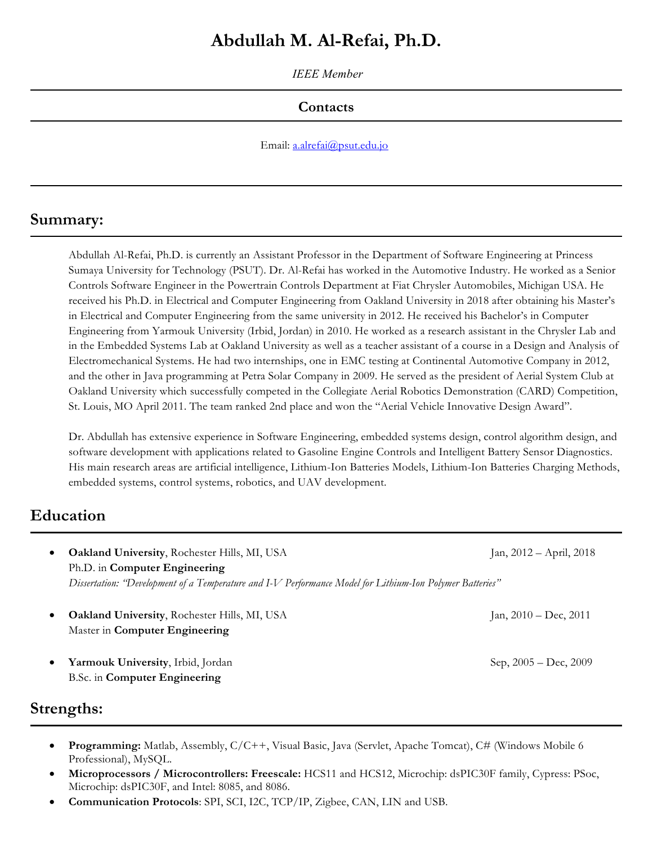# **Abdullah M. Al-Refai, Ph.D.**

*IEEE Member*

# **Contacts**

Email: a.alrefai@psut.edu.jo

# **Summary:**

Abdullah Al-Refai, Ph.D. is currently an Assistant Professor in the Department of Software Engineering at Princess Sumaya University for Technology (PSUT). Dr. Al-Refai has worked in the Automotive Industry. He worked as a Senior Controls Software Engineer in the Powertrain Controls Department at Fiat Chrysler Automobiles, Michigan USA. He received his Ph.D. in Electrical and Computer Engineering from Oakland University in 2018 after obtaining his Master's in Electrical and Computer Engineering from the same university in 2012. He received his Bachelor's in Computer Engineering from Yarmouk University (Irbid, Jordan) in 2010. He worked as a research assistant in the Chrysler Lab and in the Embedded Systems Lab at Oakland University as well as a teacher assistant of a course in a Design and Analysis of Electromechanical Systems. He had two internships, one in EMC testing at Continental Automotive Company in 2012, and the other in Java programming at Petra Solar Company in 2009. He served as the president of Aerial System Club at Oakland University which successfully competed in the Collegiate Aerial Robotics Demonstration (CARD) Competition, St. Louis, MO April 2011. The team ranked 2nd place and won the "Aerial Vehicle Innovative Design Award".

Dr. Abdullah has extensive experience in Software Engineering, embedded systems design, control algorithm design, and software development with applications related to Gasoline Engine Controls and Intelligent Battery Sensor Diagnostics. His main research areas are artificial intelligence, Lithium-Ion Batteries Models, Lithium-Ion Batteries Charging Methods, embedded systems, control systems, robotics, and UAV development.

# **Education**

- **Oakland University**, Rochester Hills, MI, USA Jan, 2012 April, 2018 Ph.D. in **Computer Engineering** *Dissertation: "Development of a Temperature and I-V Performance Model for Lithium-Ion Polymer Batteries"*
- **Oakland University**, Rochester Hills, MI, USA Jan, 2010 Dec, 2011 Master in **Computer Engineering**
- **Yarmouk University**, Irbid, Jordan Sep, 2005 Dec, 2009 Sep, 2005 Dec, 2009 B.Sc. in **Computer Engineering**

# **Strengths:**

- **Programming:** Matlab, Assembly, C/C++, Visual Basic, Java (Servlet, Apache Tomcat), C# (Windows Mobile 6 Professional), MySQL.
- **Microprocessors / Microcontrollers: Freescale:** HCS11 and HCS12, Microchip: dsPIC30F family, Cypress: PSoc, Microchip: dsPIC30F, and Intel: 8085, and 8086.
- **Communication Protocols**: SPI, SCI, I2C, TCP/IP, Zigbee, CAN, LIN and USB.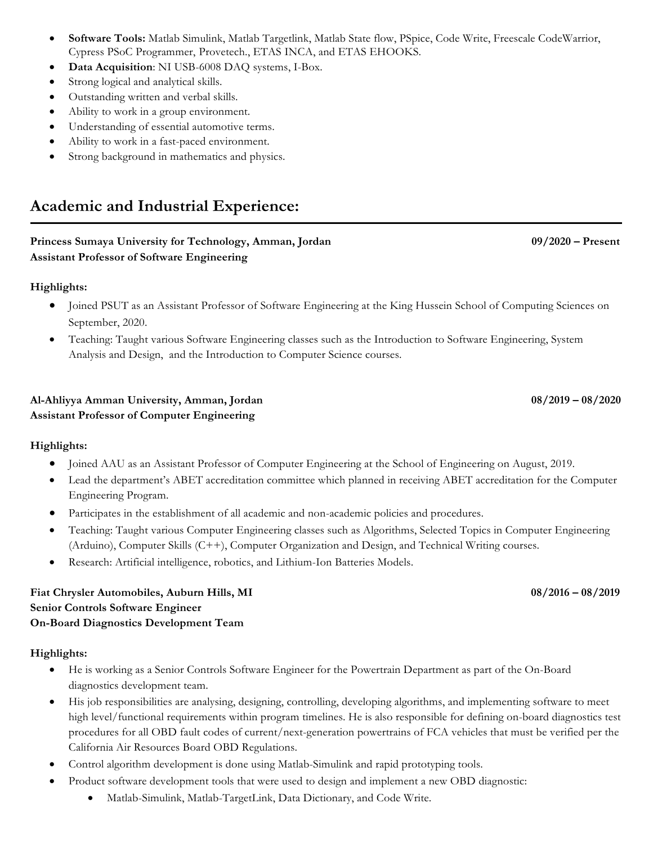- **Software Tools:** Matlab Simulink, Matlab Targetlink, Matlab State flow, PSpice, Code Write, Freescale CodeWarrior, Cypress PSoC Programmer, Provetech., ETAS INCA, and ETAS EHOOKS.
- **Data Acquisition**: NI USB-6008 DAQ systems, I-Box.
- Strong logical and analytical skills.
- Outstanding written and verbal skills.
- Ability to work in a group environment.
- Understanding of essential automotive terms.
- Ability to work in a fast-paced environment.
- Strong background in mathematics and physics.

# **Academic and Industrial Experience:**

#### **Princess Sumaya University for Technology, Amman, Jordan 09/2020 – Present Assistant Professor of Software Engineering**

#### **Highlights:**

- Joined PSUT as an Assistant Professor of Software Engineering at the King Hussein School of Computing Sciences on September, 2020.
- Teaching: Taught various Software Engineering classes such as the Introduction to Software Engineering, System Analysis and Design, and the Introduction to Computer Science courses.

#### **Al-Ahliyya Amman University, Amman, Jordan 08/2019 – 08/2020 Assistant Professor of Computer Engineering**

## **Highlights:**

- Joined AAU as an Assistant Professor of Computer Engineering at the School of Engineering on August, 2019.
- Lead the department's ABET accreditation committee which planned in receiving ABET accreditation for the Computer Engineering Program.
- Participates in the establishment of all academic and non-academic policies and procedures.
- Teaching: Taught various Computer Engineering classes such as Algorithms, Selected Topics in Computer Engineering (Arduino), Computer Skills (C++), Computer Organization and Design, and Technical Writing courses.
- Research: Artificial intelligence, robotics, and Lithium-Ion Batteries Models.

## **Fiat Chrysler Automobiles, Auburn Hills, MI 08/2016 – 08/2019 Senior Controls Software Engineer On-Board Diagnostics Development Team**

## **Highlights:**

- He is working as a Senior Controls Software Engineer for the Powertrain Department as part of the On-Board diagnostics development team.
- His job responsibilities are analysing, designing, controlling, developing algorithms, and implementing software to meet high level/functional requirements within program timelines. He is also responsible for defining on-board diagnostics test procedures for all OBD fault codes of current/next-generation powertrains of FCA vehicles that must be verified per the California Air Resources Board OBD Regulations.
- Control algorithm development is done using Matlab-Simulink and rapid prototyping tools.
- Product software development tools that were used to design and implement a new OBD diagnostic:
	- Matlab-Simulink, Matlab-TargetLink, Data Dictionary, and Code Write.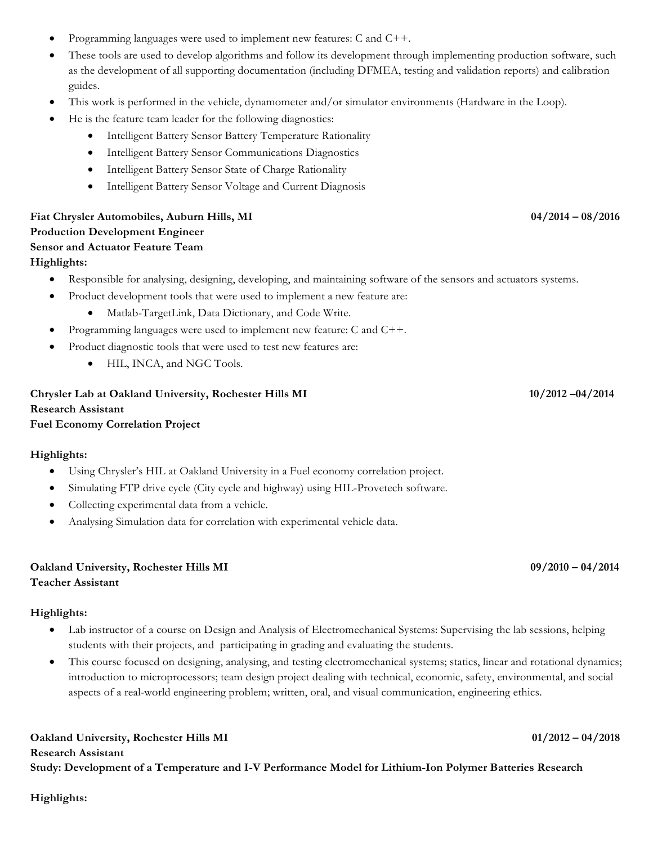- Programming languages were used to implement new features: C and C++.
- These tools are used to develop algorithms and follow its development through implementing production software, such as the development of all supporting documentation (including DFMEA, testing and validation reports) and calibration guides.
- This work is performed in the vehicle, dynamometer and/or simulator environments (Hardware in the Loop).
- He is the feature team leader for the following diagnostics:
	- Intelligent Battery Sensor Battery Temperature Rationality
	- Intelligent Battery Sensor Communications Diagnostics
	- Intelligent Battery Sensor State of Charge Rationality
	- Intelligent Battery Sensor Voltage and Current Diagnosis

# **Fiat Chrysler Automobiles, Auburn Hills, MI 04/2014 – 08/2016 Production Development Engineer Sensor and Actuator Feature Team**

#### **Highlights:**

- Responsible for analysing, designing, developing, and maintaining software of the sensors and actuators systems.
- Product development tools that were used to implement a new feature are:
	- Matlab-TargetLink, Data Dictionary, and Code Write.
- Programming languages were used to implement new feature: C and C++.
- Product diagnostic tools that were used to test new features are:
	- HIL, INCA, and NGC Tools.

## **Chrysler Lab at Oakland University, Rochester Hills MI 10/2012 –04/2014 Research Assistant Fuel Economy Correlation Project**

## **Highlights:**

- Using Chrysler's HIL at Oakland University in a Fuel economy correlation project.
- Simulating FTP drive cycle (City cycle and highway) using HIL-Provetech software.
- Collecting experimental data from a vehicle.
- Analysing Simulation data for correlation with experimental vehicle data.

## **Oakland University, Rochester Hills MI 09/2010 – 04/2014 Teacher Assistant**

#### **Highlights:**

- Lab instructor of a course on Design and Analysis of Electromechanical Systems: Supervising the lab sessions, helping students with their projects, and participating in grading and evaluating the students.
- This course focused on designing, analysing, and testing electromechanical systems; statics, linear and rotational dynamics; introduction to microprocessors; team design project dealing with technical, economic, safety, environmental, and social aspects of a real-world engineering problem; written, oral, and visual communication, engineering ethics.

#### **Oakland University, Rochester Hills MI 01/2012 – 04/2018**

**Research Assistant**

**Study: Development of a Temperature and I-V Performance Model for Lithium-Ion Polymer Batteries Research** 

#### **Highlights:**

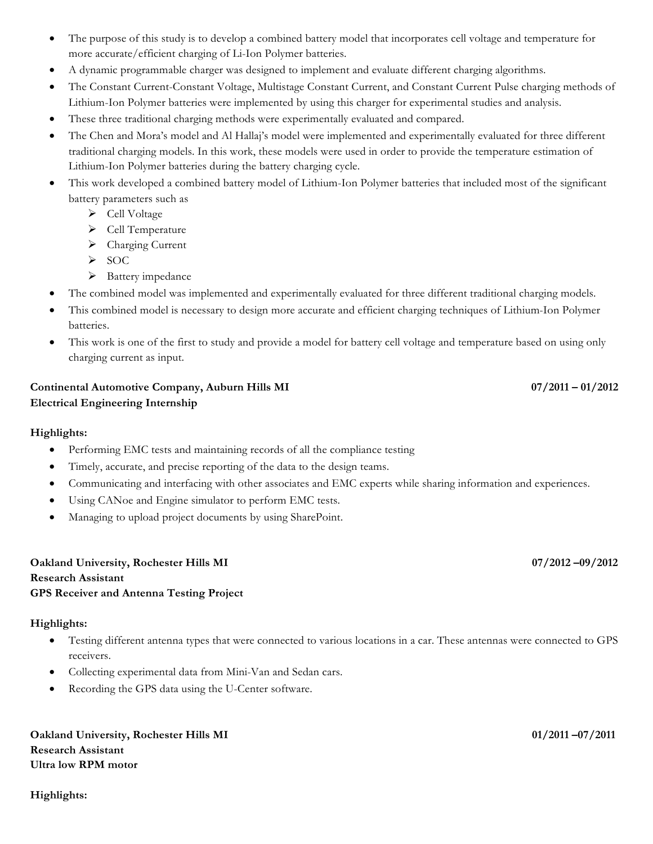- The purpose of this study is to develop a combined battery model that incorporates cell voltage and temperature for more accurate/efficient charging of Li-Ion Polymer batteries.
- A dynamic programmable charger was designed to implement and evaluate different charging algorithms.
- The Constant Current-Constant Voltage, Multistage Constant Current, and Constant Current Pulse charging methods of Lithium-Ion Polymer batteries were implemented by using this charger for experimental studies and analysis.
- These three traditional charging methods were experimentally evaluated and compared.
- The Chen and Mora's model and Al Hallaj's model were implemented and experimentally evaluated for three different traditional charging models. In this work, these models were used in order to provide the temperature estimation of Lithium-Ion Polymer batteries during the battery charging cycle.
- This work developed a combined battery model of Lithium-Ion Polymer batteries that included most of the significant battery parameters such as
	- $\blacktriangleright$  Cell Voltage
	- $\triangleright$  Cell Temperature
	- Ø Charging Current
	- $\triangleright$  SOC
	- $\triangleright$  Battery impedance
- The combined model was implemented and experimentally evaluated for three different traditional charging models.
- This combined model is necessary to design more accurate and efficient charging techniques of Lithium-Ion Polymer batteries.
- This work is one of the first to study and provide a model for battery cell voltage and temperature based on using only charging current as input.

# **Continental Automotive Company, Auburn Hills MI 07/2012 12:00 07/2011 – 01/2012 Electrical Engineering Internship**

## **Highlights:**

- Performing EMC tests and maintaining records of all the compliance testing
- Timely, accurate, and precise reporting of the data to the design teams.
- Communicating and interfacing with other associates and EMC experts while sharing information and experiences.
- Using CANoe and Engine simulator to perform EMC tests.
- Managing to upload project documents by using SharePoint.

#### **Oakland University, Rochester Hills MI 07/2012 –09/2012 Research Assistant GPS Receiver and Antenna Testing Project**

## **Highlights:**

- Testing different antenna types that were connected to various locations in a car. These antennas were connected to GPS receivers.
- Collecting experimental data from Mini-Van and Sedan cars.
- Recording the GPS data using the U-Center software.

**Oakland University, Rochester Hills MI 01/2011 –07/2011 Research Assistant Ultra low RPM motor**

**Highlights:**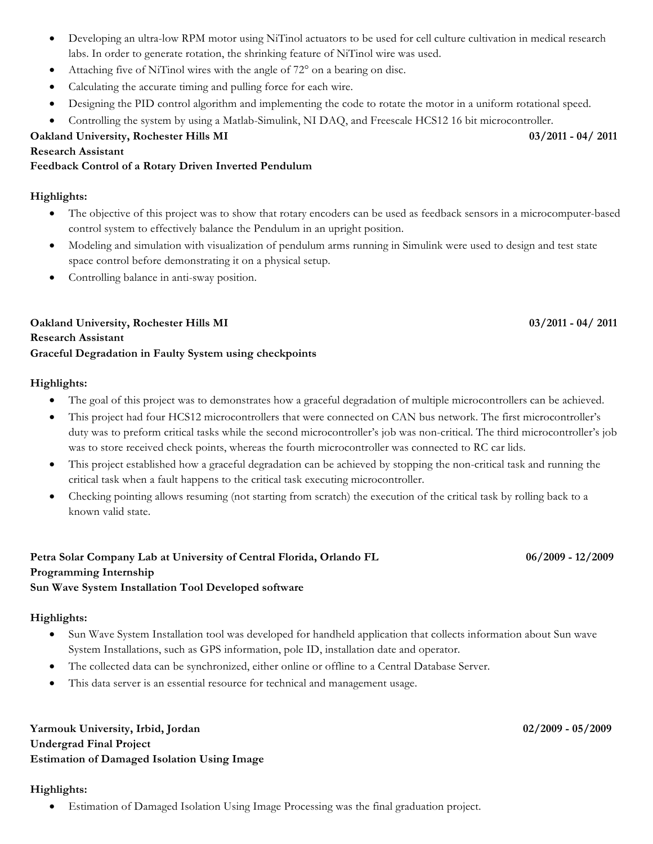- Developing an ultra-low RPM motor using NiTinol actuators to be used for cell culture cultivation in medical research labs. In order to generate rotation, the shrinking feature of NiTinol wire was used.
- Attaching five of NiTinol wires with the angle of 72° on a bearing on disc.
- Calculating the accurate timing and pulling force for each wire.
- Designing the PID control algorithm and implementing the code to rotate the motor in a uniform rotational speed.
- Controlling the system by using a Matlab-Simulink, NI DAQ, and Freescale HCS12 16 bit microcontroller.

**Oakland University, Rochester Hills MI 03/2011 - 04/ 2011**

#### **Research Assistant**

#### **Feedback Control of a Rotary Driven Inverted Pendulum**

#### **Highlights:**

- The objective of this project was to show that rotary encoders can be used as feedback sensors in a microcomputer-based control system to effectively balance the Pendulum in an upright position.
- Modeling and simulation with visualization of pendulum arms running in Simulink were used to design and test state space control before demonstrating it on a physical setup.
- Controlling balance in anti-sway position.

## **Oakland University, Rochester Hills MI 03/2011 - 04/ 2011 Research Assistant Graceful Degradation in Faulty System using checkpoints**

#### **Highlights:**

- The goal of this project was to demonstrates how a graceful degradation of multiple microcontrollers can be achieved.
- This project had four HCS12 microcontrollers that were connected on CAN bus network. The first microcontroller's duty was to preform critical tasks while the second microcontroller's job was non-critical. The third microcontroller's job was to store received check points, whereas the fourth microcontroller was connected to RC car lids.
- This project established how a graceful degradation can be achieved by stopping the non-critical task and running the critical task when a fault happens to the critical task executing microcontroller.
- Checking pointing allows resuming (not starting from scratch) the execution of the critical task by rolling back to a known valid state.

## **Petra Solar Company Lab at University of Central Florida, Orlando FL 06/2009 - 12/2009 Programming Internship Sun Wave System Installation Tool Developed software**

#### **Highlights:**

- Sun Wave System Installation tool was developed for handheld application that collects information about Sun wave System Installations, such as GPS information, pole ID, installation date and operator.
- The collected data can be synchronized, either online or offline to a Central Database Server.
- This data server is an essential resource for technical and management usage.

**Yarmouk University, Irbid, Jordan 02/2009 - 05/2009 Undergrad Final Project Estimation of Damaged Isolation Using Image**

#### **Highlights:**

• Estimation of Damaged Isolation Using Image Processing was the final graduation project.